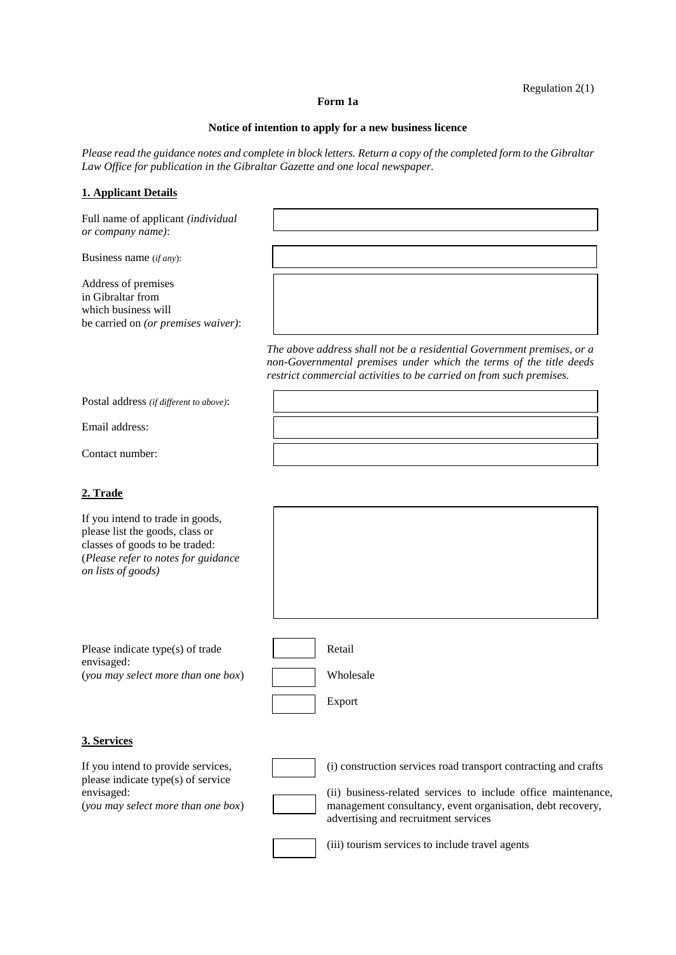# Regulation 2(1)

#### **Form 1a**

# **Notice of intention to apply for a new business licence**

*Please read the guidance notes and complete in block letters. Return a copy of the completed form to the Gibraltar Law Office for publication in the Gibraltar Gazette and one local newspaper.* 

# **1. Applicant Details**

Full name of applicant *(individual or company name)*:

Business name (*if any*):

Address of premises in Gibraltar from which business will be carried on *(or premises waiver)*:

> *The above address shall not be a residential Government premises, or a non-Governmental premises under which the terms of the title deeds restrict commercial activities to be carried on from such premises.*

Postal address *(if different to above)*:

Email address:

Contact number:

# **2. Trade**

If you intend to trade in goods, please list the goods, class or classes of goods to be traded: (*Please refer to notes for guidance on lists of goods)*

Please indicate type(s) of trade Retail envisaged: (*you may select more than one box*) Wholesale

Export

**3. Services**

If you intend to provide services, (i) construction services road transport contracting and crafts please indicate type(s) of service envisaged: (ii) business-related services to include office maintenance,

(*you may select more than one box*) management consultancy, event organisation, debt recovery,

(iii) tourism services to include travel agents

advertising and recruitment services